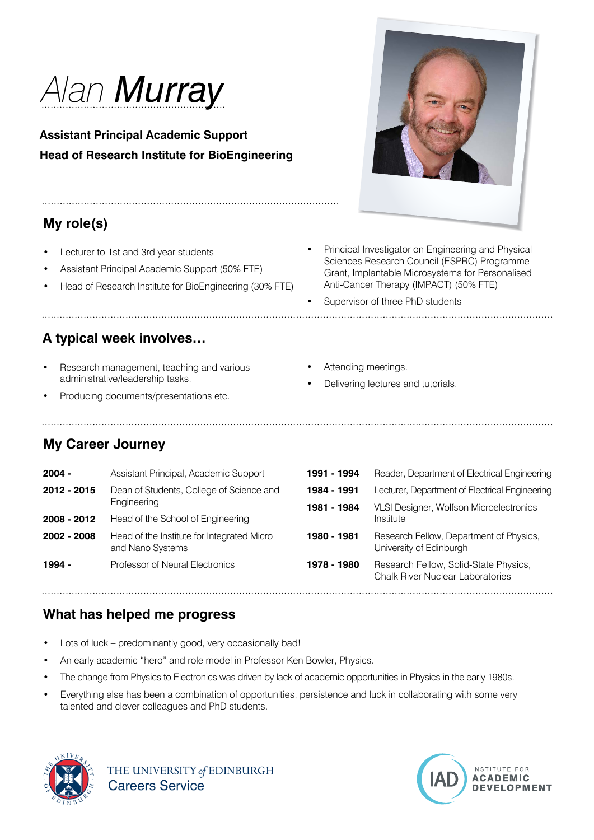

**Assistant Principal Academic Support Head of Research Institute for BioEngineering**

# **My role(s)**

Lecturer to 1st and 3rd year students

- Assistant Principal Academic Support (50% FTE)
- Head of Research Institute for BioEngineering (30% FTE)

#### **A typical week involves…**

- Research management, teaching and various administrative/leadership tasks.
- Producing documents/presentations etc.

• Principal Investigator on Engineering and Physical Sciences Research Council (ESPRC) Programme Grant, Implantable Microsystems for Personalised Anti-Cancer Therapy (IMPACT) (50% FTE)

- Supervisor of three PhD students
- Attending meetings.
- Delivering lectures and tutorials.

## **My Career Journey**

| $2004 -$    | Assistant Principal, Academic Support                          | 1991 - 1994 | Reader, Department of Electrical Engineering                                     |
|-------------|----------------------------------------------------------------|-------------|----------------------------------------------------------------------------------|
| 2012 - 2015 | Dean of Students, College of Science and<br>Engineering        | 1984 - 1991 | Lecturer, Department of Electrical Engineering                                   |
|             |                                                                | 1981 - 1984 | VLSI Designer, Wolfson Microelectronics                                          |
| 2008 - 2012 | Head of the School of Engineering                              |             | Institute                                                                        |
| 2002 - 2008 | Head of the Institute for Integrated Micro<br>and Nano Systems | 1980 - 1981 | Research Fellow, Department of Physics,<br>University of Edinburgh               |
| 1994 -      | Professor of Neural Electronics                                | 1978 - 1980 | Research Fellow, Solid-State Physics,<br><b>Chalk River Nuclear Laboratories</b> |

## **What has helped me progress**

- Lots of luck predominantly good, very occasionally bad!
- An early academic "hero" and role model in Professor Ken Bowler, Physics.
- The change from Physics to Electronics was driven by lack of academic opportunities in Physics in the early 1980s.
- Everything else has been a combination of opportunities, persistence and luck in collaborating with some very talented and clever colleagues and PhD students.